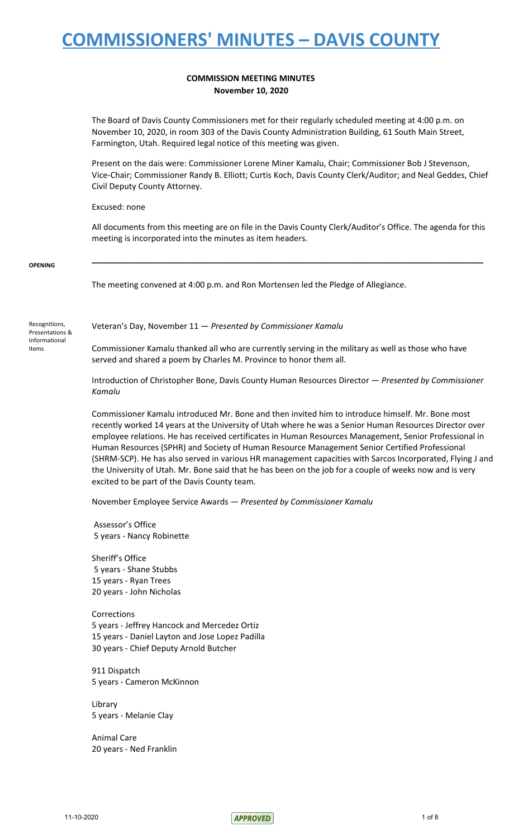### **COMMISSION MEETING MINUTES November 10, 2020**

The Board of Davis County Commissioners met for their regularly scheduled meeting at 4:00 p.m. on November 10, 2020, in room 303 of the Davis County Administration Building, 61 South Main Street, Farmington, Utah. Required legal notice of this meeting was given.

Present on the dais were: Commissioner Lorene Miner Kamalu, Chair; Commissioner Bob J Stevenson, Vice-Chair; Commissioner Randy B. Elliott; Curtis Koch, Davis County Clerk/Auditor; and Neal Geddes, Chief Civil Deputy County Attorney.

Excused: none

All documents from this meeting are on file in the Davis County Clerk/Auditor's Office. The agenda for this meeting is incorporated into the minutes as item headers.

**\_\_\_\_\_\_\_\_\_\_\_\_\_\_\_\_\_\_\_\_\_\_\_\_\_\_\_\_\_\_\_\_\_\_\_\_\_\_\_\_\_\_\_\_\_\_\_\_\_\_\_\_\_\_\_\_\_\_\_\_\_\_\_\_\_\_\_\_\_\_\_\_\_\_\_\_\_\_\_\_\_\_\_\_\_\_**

**OPENING**

The meeting convened at 4:00 p.m. and Ron Mortensen led the Pledge of Allegiance.

Recognitions, Presentations & Informational Items

Veteran's Day, November 11 — *Presented by Commissioner Kamalu*

Commissioner Kamalu thanked all who are currently serving in the military as well as those who have served and shared a poem by Charles M. Province to honor them all.

Introduction of Christopher Bone, Davis County Human Resources Director — *Presented by Commissioner Kamalu*

Commissioner Kamalu introduced Mr. Bone and then invited him to introduce himself. Mr. Bone most recently worked 14 years at the University of Utah where he was a Senior Human Resources Director over employee relations. He has received certificates in Human Resources Management, Senior Professional in Human Resources (SPHR) and Society of Human Resource Management Senior Certified Professional (SHRM-SCP). He has also served in various HR management capacities with Sarcos Incorporated, Flying J and the University of Utah. Mr. Bone said that he has been on the job for a couple of weeks now and is very excited to be part of the Davis County team.

November Employee Service Awards — *Presented by Commissioner Kamalu*

Assessor's Office 5 years - Nancy Robinette

Sheriff's Office years - Shane Stubbs years - Ryan Trees years - John Nicholas

Corrections years - Jeffrey Hancock and Mercedez Ortiz years - Daniel Layton and Jose Lopez Padilla years - Chief Deputy Arnold Butcher

911 Dispatch 5 years - Cameron McKinnon

Library 5 years - Melanie Clay

Animal Care 20 years - Ned Franklin

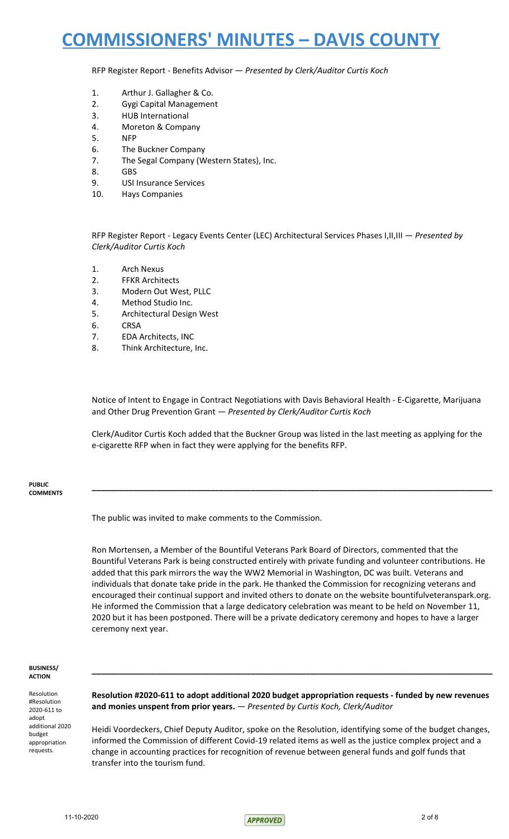RFP Register Report - Benefits Advisor — *Presented by Clerk/Auditor Curtis Koch*

- 1. Arthur J. Gallagher & Co.
- 2. Gygi Capital Management
- 3. HUB International
- 4. Moreton & Company
- 5. NFP
- 6. The Buckner Company
- 7. The Segal Company (Western States), Inc.
- 8. GBS
- 9. USI Insurance Services
- 10. Hays Companies

RFP Register Report - Legacy Events Center (LEC) Architectural Services Phases I,II,III — *Presented by Clerk/Auditor Curtis Koch*

- 1. Arch Nexus
- 2. FFKR Architects
- 3. Modern Out West, PLLC
- 4. Method Studio Inc.
- 5. Architectural Design West
- 6. CRSA
- 7. EDA Architects, INC
- 8. Think Architecture, Inc.

Notice of Intent to Engage in Contract Negotiations with Davis Behavioral Health - E-Cigarette, Marijuana and Other Drug Prevention Grant — *Presented by Clerk/Auditor Curtis Koch*

Clerk/Auditor Curtis Koch added that the Buckner Group was listed in the last meeting as applying for the e-cigarette RFP when in fact they were applying for the benefits RFP.

**\_\_\_\_\_\_\_\_\_\_\_\_\_\_\_\_\_\_\_\_\_\_\_\_\_\_\_\_\_\_\_\_\_\_\_\_\_\_\_\_\_\_\_\_\_\_\_\_\_\_\_\_\_\_\_\_\_\_\_\_\_\_\_\_\_\_\_\_\_\_\_\_\_\_\_\_\_\_\_\_\_\_\_\_\_\_\_\_**

**PUBLIC COMMENTS**

The public was invited to make comments to the Commission.

Ron Mortensen, a Member of the Bountiful Veterans Park Board of Directors, commented that the Bountiful Veterans Park is being constructed entirely with private funding and volunteer contributions. He added that this park mirrors the way the WW2 Memorial in Washington, DC was built. Veterans and individuals that donate take pride in the park. He thanked the Commission for recognizing veterans and encouraged their continual support and invited others to donate on the website bountifulveteranspark.org. He informed the Commission that a large dedicatory celebration was meant to be held on November 11, 2020 but it has been postponed. There will be a private dedicatory ceremony and hopes to have a larger ceremony next year.

#### **BUSINESS/ ACTION**

Resolution #Resolution 2020-611 to adopt additional 2020 budget appropriation requests.

**Resolution #2020-611 to adopt additional 2020 budget appropriation requests - funded by new revenues and monies unspent from prior years.** — *Presented by Curtis Koch, Clerk/Auditor*

**\_\_\_\_\_\_\_\_\_\_\_\_\_\_\_\_\_\_\_\_\_\_\_\_\_\_\_\_\_\_\_\_\_\_\_\_\_\_\_\_\_\_\_\_\_\_\_\_\_\_\_\_\_\_\_\_\_\_\_\_\_\_\_\_\_\_\_\_\_\_\_\_\_\_\_\_\_\_\_\_\_\_\_\_\_\_\_\_**

Heidi Voordeckers, Chief Deputy Auditor, spoke on the Resolution, identifying some of the budget changes, informed the Commission of different Covid-19 related items as well as the justice complex project and a change in accounting practices for recognition of revenue between general funds and golf funds that transfer into the tourism fund.

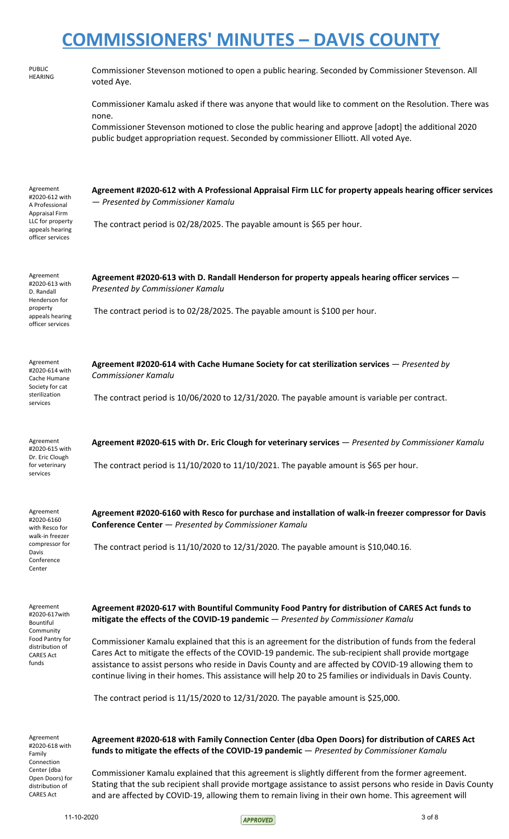| <b>PUBLIC</b><br><b>HEARING</b>                                                                                                   | Commissioner Stevenson motioned to open a public hearing. Seconded by Commissioner Stevenson. All<br>voted Aye.                                                                                                                                                                                                                                                                                                                                                                                                                                                                                                                                                                                                   |
|-----------------------------------------------------------------------------------------------------------------------------------|-------------------------------------------------------------------------------------------------------------------------------------------------------------------------------------------------------------------------------------------------------------------------------------------------------------------------------------------------------------------------------------------------------------------------------------------------------------------------------------------------------------------------------------------------------------------------------------------------------------------------------------------------------------------------------------------------------------------|
|                                                                                                                                   | Commissioner Kamalu asked if there was anyone that would like to comment on the Resolution. There was<br>none.<br>Commissioner Stevenson motioned to close the public hearing and approve [adopt] the additional 2020<br>public budget appropriation request. Seconded by commissioner Elliott. All voted Aye.                                                                                                                                                                                                                                                                                                                                                                                                    |
| Agreement<br>#2020-612 with<br>A Professional<br><b>Appraisal Firm</b><br>LLC for property<br>appeals hearing<br>officer services | Agreement #2020-612 with A Professional Appraisal Firm LLC for property appeals hearing officer services<br>- Presented by Commissioner Kamalu<br>The contract period is 02/28/2025. The payable amount is \$65 per hour.                                                                                                                                                                                                                                                                                                                                                                                                                                                                                         |
| Agreement<br>#2020-613 with<br>D. Randall<br>Henderson for<br>property<br>appeals hearing<br>officer services                     | Agreement #2020-613 with D. Randall Henderson for property appeals hearing officer services -<br>Presented by Commissioner Kamalu<br>The contract period is to 02/28/2025. The payable amount is \$100 per hour.                                                                                                                                                                                                                                                                                                                                                                                                                                                                                                  |
| Agreement<br>#2020-614 with<br>Cache Humane<br>Society for cat<br>sterilization<br>services                                       | Agreement #2020-614 with Cache Humane Society for cat sterilization services - Presented by<br><b>Commissioner Kamalu</b><br>The contract period is 10/06/2020 to 12/31/2020. The payable amount is variable per contract.                                                                                                                                                                                                                                                                                                                                                                                                                                                                                        |
| Agreement<br>#2020-615 with<br>Dr. Eric Clough<br>for veterinary<br>services                                                      | Agreement #2020-615 with Dr. Eric Clough for veterinary services - Presented by Commissioner Kamalu<br>The contract period is $11/10/2020$ to $11/10/2021$ . The payable amount is \$65 per hour.                                                                                                                                                                                                                                                                                                                                                                                                                                                                                                                 |
| Agreement<br>#2020-6160<br>with Resco for<br>walk-in freezer<br>compressor for<br>Davis<br>Conference<br>Center                   | Agreement #2020-6160 with Resco for purchase and installation of walk-in freezer compressor for Davis<br>Conference Center - Presented by Commissioner Kamalu<br>The contract period is $11/10/2020$ to $12/31/2020$ . The payable amount is \$10,040.16.                                                                                                                                                                                                                                                                                                                                                                                                                                                         |
| Agreement<br>#2020-617with<br>Bountiful<br>Community<br>Food Pantry for<br>distribution of<br><b>CARES Act</b><br>funds           | Agreement #2020-617 with Bountiful Community Food Pantry for distribution of CARES Act funds to<br>mitigate the effects of the COVID-19 pandemic - Presented by Commissioner Kamalu<br>Commissioner Kamalu explained that this is an agreement for the distribution of funds from the federal<br>Cares Act to mitigate the effects of the COVID-19 pandemic. The sub-recipient shall provide mortgage<br>assistance to assist persons who reside in Davis County and are affected by COVID-19 allowing them to<br>continue living in their homes. This assistance will help 20 to 25 families or individuals in Davis County.<br>The contract period is 11/15/2020 to 12/31/2020. The payable amount is \$25,000. |
| Agreement<br>#2020-618 with<br>Family<br>Connection<br>Center (dba<br>Open Doors) for<br>distribution of<br><b>CARES Act</b>      | Agreement #2020-618 with Family Connection Center (dba Open Doors) for distribution of CARES Act<br>funds to mitigate the effects of the COVID-19 pandemic - Presented by Commissioner Kamalu<br>Commissioner Kamalu explained that this agreement is slightly different from the former agreement.<br>Stating that the sub recipient shall provide mortgage assistance to assist persons who reside in Davis County<br>and are affected by COVID-19, allowing them to remain living in their own home. This agreement will                                                                                                                                                                                       |

 $APPROVED$  3 of 8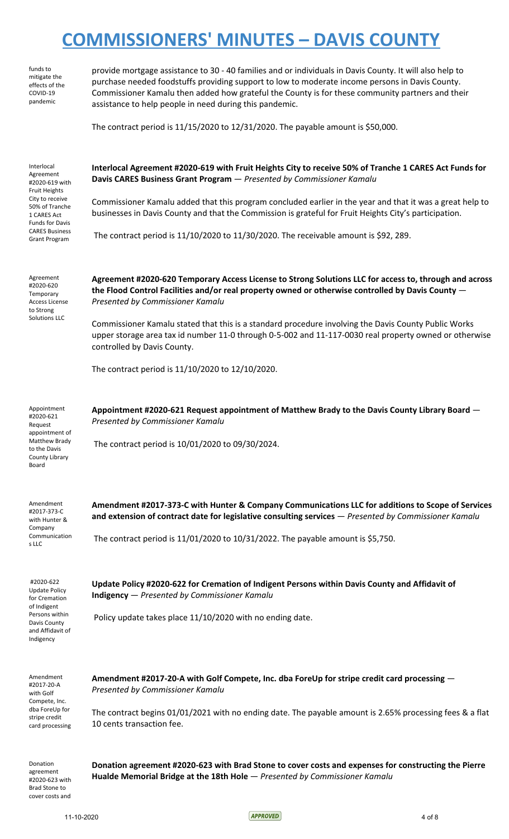|                                                                                                                                                                                           | CONTRIBUTIONERS IVITIVO I LU<br><u>DAVIJ COUNTI</u>                                                                                                                                                                                                                                                                                                                                                                                                                                                                                                  |
|-------------------------------------------------------------------------------------------------------------------------------------------------------------------------------------------|------------------------------------------------------------------------------------------------------------------------------------------------------------------------------------------------------------------------------------------------------------------------------------------------------------------------------------------------------------------------------------------------------------------------------------------------------------------------------------------------------------------------------------------------------|
| funds to<br>mitigate the<br>effects of the<br>COVID-19<br>pandemic                                                                                                                        | provide mortgage assistance to 30 - 40 families and or individuals in Davis County. It will also help to<br>purchase needed foodstuffs providing support to low to moderate income persons in Davis County.<br>Commissioner Kamalu then added how grateful the County is for these community partners and their<br>assistance to help people in need during this pandemic.<br>The contract period is 11/15/2020 to 12/31/2020. The payable amount is \$50,000.                                                                                       |
| Interlocal<br>Agreement<br>#2020-619 with<br>Fruit Heights<br>City to receive<br>50% of Tranche<br>1 CARES Act<br><b>Funds for Davis</b><br><b>CARES Business</b><br><b>Grant Program</b> | Interlocal Agreement #2020-619 with Fruit Heights City to receive 50% of Tranche 1 CARES Act Funds for<br>Davis CARES Business Grant Program - Presented by Commissioner Kamalu<br>Commissioner Kamalu added that this program concluded earlier in the year and that it was a great help to<br>businesses in Davis County and that the Commission is grateful for Fruit Heights City's participation.<br>The contract period is 11/10/2020 to 11/30/2020. The receivable amount is \$92, 289.                                                       |
| Agreement<br>#2020-620<br>Temporary<br>Access License<br>to Strong<br><b>Solutions LLC</b>                                                                                                | Agreement #2020-620 Temporary Access License to Strong Solutions LLC for access to, through and across<br>the Flood Control Facilities and/or real property owned or otherwise controlled by Davis County -<br>Presented by Commissioner Kamalu<br>Commissioner Kamalu stated that this is a standard procedure involving the Davis County Public Works<br>upper storage area tax id number 11-0 through 0-5-002 and 11-117-0030 real property owned or otherwise<br>controlled by Davis County.<br>The contract period is 11/10/2020 to 12/10/2020. |
| Appointment<br>#2020-621<br>Request<br>appointment of<br>Matthew Brady<br>to the Davis<br>County Library<br>Board                                                                         | Appointment #2020-621 Request appointment of Matthew Brady to the Davis County Library Board –<br>Presented by Commissioner Kamalu<br>The contract period is 10/01/2020 to 09/30/2024.                                                                                                                                                                                                                                                                                                                                                               |
| Amendment<br>#2017-373-C<br>with Hunter &<br>Company<br>Communication<br>s LLC                                                                                                            | Amendment #2017-373-C with Hunter & Company Communications LLC for additions to Scope of Services<br>and extension of contract date for legislative consulting services - Presented by Commissioner Kamalu<br>The contract period is $11/01/2020$ to $10/31/2022$ . The payable amount is \$5,750.                                                                                                                                                                                                                                                   |
| #2020-622<br><b>Update Policy</b><br>for Cremation<br>of Indigent<br>Persons within<br>Davis County<br>and Affidavit of<br>Indigency                                                      | Update Policy #2020-622 for Cremation of Indigent Persons within Davis County and Affidavit of<br><b>Indigency</b> - Presented by Commissioner Kamalu<br>Policy update takes place 11/10/2020 with no ending date.                                                                                                                                                                                                                                                                                                                                   |
| Amendment<br>#2017-20-A<br>with Golf<br>Compete, Inc.<br>dba ForeUp for<br>stripe credit<br>card processing                                                                               | Amendment #2017-20-A with Golf Compete, Inc. dba ForeUp for stripe credit card processing -<br>Presented by Commissioner Kamalu<br>The contract begins $01/01/2021$ with no ending date. The payable amount is 2.65% processing fees & a flat<br>10 cents transaction fee.                                                                                                                                                                                                                                                                           |
| Donation<br>agreement<br>#2020-623 with<br>Brad Stone to                                                                                                                                  | Donation agreement #2020-623 with Brad Stone to cover costs and expenses for constructing the Pierre<br>Hualde Memorial Bridge at the 18th Hole - Presented by Commissioner Kamalu                                                                                                                                                                                                                                                                                                                                                                   |

cover costs and

 $11-10-2020$  4 of 8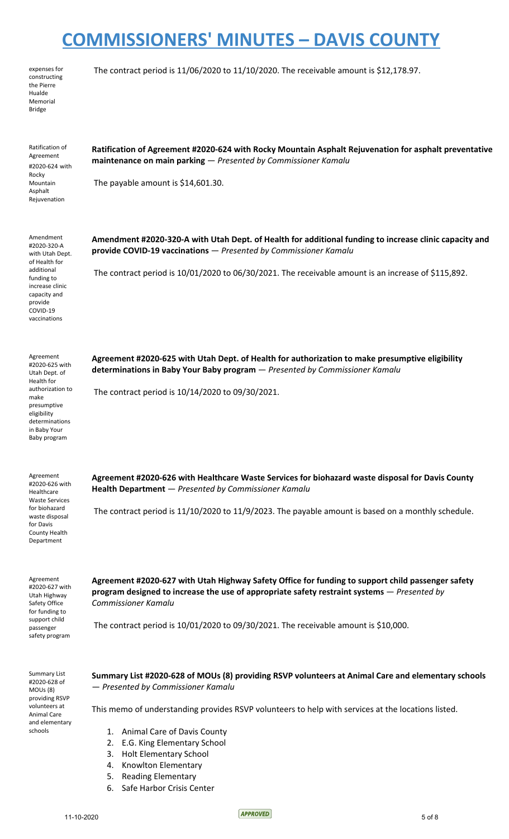| expenses for  |
|---------------|
| constructing  |
| the Pierre    |
| Hualde        |
| Memorial      |
| <b>Bridge</b> |

The contract period is 11/06/2020 to 11/10/2020. The receivable amount is \$12,178.97.

| Ratification of<br>Agreement<br>#2020-624 with                                                           | Ratification of Agreement #2020-624 with Rocky Mountain Asphalt Rejuvenation for asphalt preventative<br>maintenance on main parking - Presented by Commissioner Kamalu                                                          |
|----------------------------------------------------------------------------------------------------------|----------------------------------------------------------------------------------------------------------------------------------------------------------------------------------------------------------------------------------|
| Rocky<br>Mountain<br>Asphalt<br>Rejuvenation                                                             | The payable amount is \$14,601.30.                                                                                                                                                                                               |
| Amendment<br>#2020-320-A<br>with Utah Dept.<br>of Health for                                             | Amendment #2020-320-A with Utah Dept. of Health for additional funding to increase clinic capacity and<br>provide COVID-19 vaccinations - Presented by Commissioner Kamalu                                                       |
| additional<br>funding to<br>increase clinic<br>capacity and<br>provide<br>COVID-19<br>vaccinations       | The contract period is 10/01/2020 to 06/30/2021. The receivable amount is an increase of \$115,892.                                                                                                                              |
| Agreement<br>#2020-625 with<br>Utah Dept. of<br>Health for                                               | Agreement #2020-625 with Utah Dept. of Health for authorization to make presumptive eligibility<br>determinations in Baby Your Baby program - Presented by Commissioner Kamalu                                                   |
| authorization to<br>make<br>presumptive<br>eligibility<br>determinations<br>in Baby Your<br>Baby program | The contract period is 10/14/2020 to 09/30/2021.                                                                                                                                                                                 |
| Agreement<br>#2020-626 with<br>Healthcare                                                                | Agreement #2020-626 with Healthcare Waste Services for biohazard waste disposal for Davis County<br>Health Department - Presented by Commissioner Kamalu                                                                         |
| <b>Waste Services</b><br>for biohazard<br>waste disposal<br>for Davis<br>County Health<br>Department     | The contract period is 11/10/2020 to 11/9/2023. The payable amount is based on a monthly schedule.                                                                                                                               |
| Agreement<br>#2020-627 with<br>Utah Highway<br>Safety Office<br>for funding to                           | Agreement #2020-627 with Utah Highway Safety Office for funding to support child passenger safety<br>program designed to increase the use of appropriate safety restraint systems $-$ Presented by<br><b>Commissioner Kamalu</b> |
| support child<br>passenger<br>safety program                                                             | The contract period is 10/01/2020 to 09/30/2021. The receivable amount is \$10,000.                                                                                                                                              |
| <b>Summary List</b><br>#2020-628 of<br>MOUs (8)<br>providing RSVP                                        | Summary List #2020-628 of MOUs (8) providing RSVP volunteers at Animal Care and elementary schools<br>- Presented by Commissioner Kamalu                                                                                         |
| volunteers at<br>Animal Care<br>and elementary                                                           | This memo of understanding provides RSVP volunteers to help with services at the locations listed.                                                                                                                               |
| schools                                                                                                  | 1. Animal Care of Davis County                                                                                                                                                                                                   |
|                                                                                                          | 2. E.G. King Elementary School                                                                                                                                                                                                   |
|                                                                                                          | <b>Holt Elementary School</b><br>3.<br>Knowlton Elementary<br>4.                                                                                                                                                                 |
|                                                                                                          | 5. Reading Elementary                                                                                                                                                                                                            |
|                                                                                                          | 6. Safe Harbor Crisis Center                                                                                                                                                                                                     |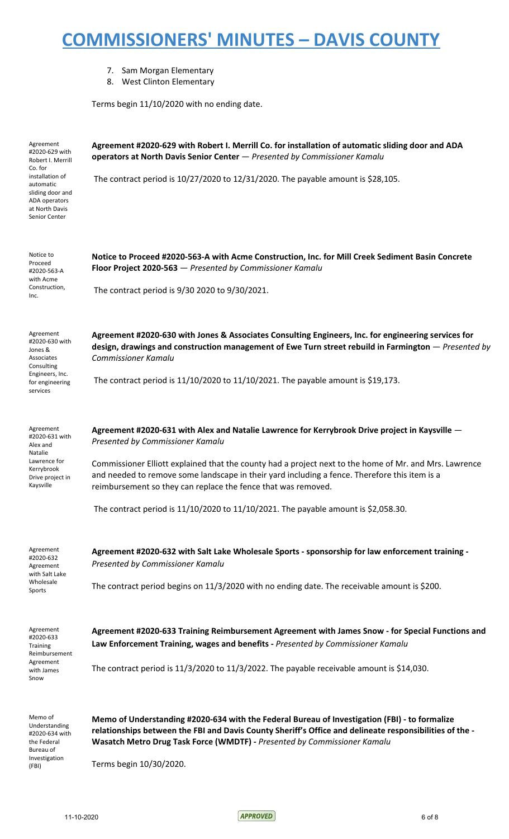- 7. Sam Morgan Elementary
- 8. West Clinton Elementary

Terms begin 11/10/2020 with no ending date.

| Agreement<br>#2020-629 with<br>Robert I. Merrill<br>Co. for<br>installation of<br>automatic<br>sliding door and<br>ADA operators<br>at North Davis<br>Senior Center | Agreement #2020-629 with Robert I. Merrill Co. for installation of automatic sliding door and ADA<br>operators at North Davis Senior Center - Presented by Commissioner Kamalu<br>The contract period is 10/27/2020 to 12/31/2020. The payable amount is \$28,105.                                                                                                                                                                                                                                        |
|---------------------------------------------------------------------------------------------------------------------------------------------------------------------|-----------------------------------------------------------------------------------------------------------------------------------------------------------------------------------------------------------------------------------------------------------------------------------------------------------------------------------------------------------------------------------------------------------------------------------------------------------------------------------------------------------|
| Notice to<br>Proceed<br>#2020-563-A<br>with Acme<br>Construction,<br>Inc.                                                                                           | Notice to Proceed #2020-563-A with Acme Construction, Inc. for Mill Creek Sediment Basin Concrete<br>Floor Project 2020-563 - Presented by Commissioner Kamalu<br>The contract period is 9/30 2020 to 9/30/2021.                                                                                                                                                                                                                                                                                          |
| Agreement<br>#2020-630 with<br>Jones &<br>Associates<br>Consulting<br>Engineers, Inc.<br>for engineering<br>services                                                | Agreement #2020-630 with Jones & Associates Consulting Engineers, Inc. for engineering services for<br>design, drawings and construction management of Ewe Turn street rebuild in Farmington - Presented by<br><b>Commissioner Kamalu</b><br>The contract period is $11/10/2020$ to $11/10/2021$ . The payable amount is \$19,173.                                                                                                                                                                        |
| Agreement<br>#2020-631 with<br>Alex and<br>Natalie<br>Lawrence for<br>Kerrybrook<br>Drive project in<br>Kaysville                                                   | Agreement #2020-631 with Alex and Natalie Lawrence for Kerrybrook Drive project in Kaysville -<br>Presented by Commissioner Kamalu<br>Commissioner Elliott explained that the county had a project next to the home of Mr. and Mrs. Lawrence<br>and needed to remove some landscape in their yard including a fence. Therefore this item is a<br>reimbursement so they can replace the fence that was removed.<br>The contract period is $11/10/2020$ to $11/10/2021$ . The payable amount is \$2,058.30. |
| Agreement<br>#2020-632<br>Agreement<br>with Salt Lake<br>Wholesale<br>Sports                                                                                        | Agreement #2020-632 with Salt Lake Wholesale Sports - sponsorship for law enforcement training -<br>Presented by Commissioner Kamalu<br>The contract period begins on 11/3/2020 with no ending date. The receivable amount is \$200.                                                                                                                                                                                                                                                                      |
| Agreement<br>#2020-633<br>Training<br>Reimbursement<br>Agreement<br>with James<br>Snow                                                                              | Agreement #2020-633 Training Reimbursement Agreement with James Snow - for Special Functions and<br>Law Enforcement Training, wages and benefits - Presented by Commissioner Kamalu<br>The contract period is $11/3/2020$ to $11/3/2022$ . The payable receivable amount is \$14,030.                                                                                                                                                                                                                     |
| Memo of<br>Understanding<br>#2020-634 with<br>the Federal<br>Bureau of<br>Investigation<br>(FBI)                                                                    | Memo of Understanding #2020-634 with the Federal Bureau of Investigation (FBI) - to formalize<br>relationships between the FBI and Davis County Sheriff's Office and delineate responsibilities of the -<br>Wasatch Metro Drug Task Force (WMDTF) - Presented by Commissioner Kamalu<br>Terms begin 10/30/2020.                                                                                                                                                                                           |

11-10-2020 6 of 8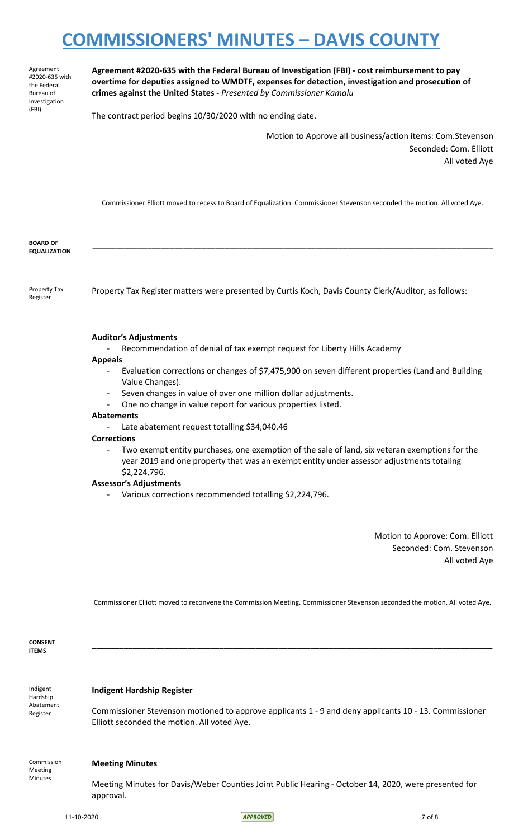Agreement #2020-635 with the Federal Bureau of Investigation (FBI)

**Agreement #2020-635 with the Federal Bureau of Investigation (FBI) - cost reimbursement to pay overtime for deputies assigned to WMDTF, expenses for detection, investigation and prosecution of crimes against the United States -** *Presented by Commissioner Kamalu*

The contract period begins 10/30/2020 with no ending date.

Motion to Approve all business/action items: Com.Stevenson Seconded: Com. Elliott All voted Aye

Commissioner Elliott moved to recess to Board of Equalization. Commissioner Stevenson seconded the motion. All voted Aye.

**\_\_\_\_\_\_\_\_\_\_\_\_\_\_\_\_\_\_\_\_\_\_\_\_\_\_\_\_\_\_\_\_\_\_\_\_\_\_\_\_\_\_\_\_\_\_\_\_\_\_\_\_\_\_\_\_\_\_\_\_\_\_\_\_\_\_\_\_\_\_\_\_\_\_\_\_\_\_\_\_\_\_\_\_\_\_\_\_**

**BOARD OF EQUALIZATION**

Property Tax Register Property Tax Register matters were presented by Curtis Koch, Davis County Clerk/Auditor, as follows:

#### **Auditor's Adjustments**

- Recommendation of denial of tax exempt request for Liberty Hills Academy

#### **Appeals**

- Evaluation corrections or changes of \$7,475,900 on seven different properties (Land and Building Value Changes).
- Seven changes in value of over one million dollar adjustments.
- One no change in value report for various properties listed.

#### **Abatements**

Late abatement request totalling \$34,040.46

#### **Corrections**

Two exempt entity purchases, one exemption of the sale of land, six veteran exemptions for the year 2019 and one property that was an exempt entity under assessor adjustments totaling \$2,224,796.

#### **Assessor's Adjustments**

Various corrections recommended totalling \$2,224,796.

Motion to Approve: Com. Elliott Seconded: Com. Stevenson All voted Aye

Commissioner Elliott moved to reconvene the Commission Meeting. Commissioner Stevenson seconded the motion. All voted Aye.

**\_\_\_\_\_\_\_\_\_\_\_\_\_\_\_\_\_\_\_\_\_\_\_\_\_\_\_\_\_\_\_\_\_\_\_\_\_\_\_\_\_\_\_\_\_\_\_\_\_\_\_\_\_\_\_\_\_\_\_\_\_\_\_\_\_\_\_\_\_\_\_\_\_\_\_\_\_\_\_\_\_\_\_\_\_\_\_\_**

**CONSENT ITEMS**

Indigent Hardship Abatement Register

**Indigent Hardship Register**

Commissioner Stevenson motioned to approve applicants 1 - 9 and deny applicants 10 - 13. Commissioner Elliott seconded the motion. All voted Aye.

Commission Meeting Minutes

#### **Meeting Minutes**

Meeting Minutes for Davis/Weber Counties Joint Public Hearing - October 14, 2020, were presented for approval.